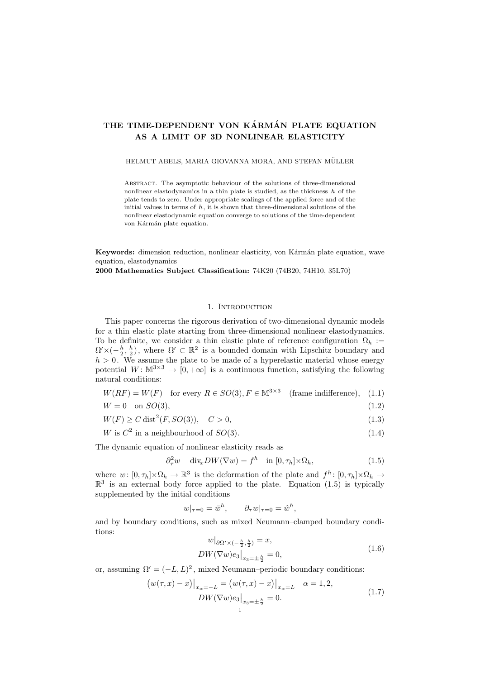# THE TIME-DEPENDENT VON KÁRMÁN PLATE EQUATION AS A LIMIT OF 3D NONLINEAR ELASTICITY

### HELMUT ABELS, MARIA GIOVANNA MORA, AND STEFAN MÜLLER

Abstract. The asymptotic behaviour of the solutions of three-dimensional nonlinear elastodynamics in a thin plate is studied, as the thickness  $h$  of the plate tends to zero. Under appropriate scalings of the applied force and of the initial values in terms of  $h$ , it is shown that three-dimensional solutions of the nonlinear elastodynamic equation converge to solutions of the time-dependent von Kármán plate equation.

Keywords: dimension reduction, nonlinear elasticity, von Kármán plate equation, wave equation, elastodynamics

2000 Mathematics Subject Classification: 74K20 (74B20, 74H10, 35L70)

# 1. INTRODUCTION

This paper concerns the rigorous derivation of two-dimensional dynamic models for a thin elastic plate starting from three-dimensional nonlinear elastodynamics. To be definite, we consider a thin elastic plate of reference configuration  $\Omega_h$  :=  $\Omega' \times (-\frac{h}{2}, \frac{h}{2})$ , where  $\Omega' \subset \mathbb{R}^2$  is a bounded domain with Lipschitz boundary and  $h > 0$ . We assume the plate to be made of a hyperelastic material whose energy potential  $W: \mathbb{M}^{3\times3} \to [0,+\infty]$  is a continuous function, satisfying the following natural conditions:

$$
W(RF) = W(F) \quad \text{for every } R \in SO(3), F \in \mathbb{M}^{3 \times 3} \quad \text{(frame indifference)}, \quad (1.1)
$$

$$
W = 0 \quad \text{on } SO(3),\tag{1.2}
$$

$$
W(F) \ge C \operatorname{dist}^2(F, SO(3)), \quad C > 0,
$$
\n
$$
(1.3)
$$

$$
W \text{ is } C^2 \text{ in a neighbourhood of } SO(3). \tag{1.4}
$$

The dynamic equation of nonlinear elasticity reads as

$$
\partial_{\tau}^{2} w - \text{div}_{x} DW(\nabla w) = f^{h} \quad \text{in } [0, \tau_{h}] \times \Omega_{h}, \tag{1.5}
$$

where  $w: [0, \tau_h] \times \Omega_h \to \mathbb{R}^3$  is the deformation of the plate and  $f^h: [0, \tau_h] \times \Omega_h \to$  $\mathbb{R}^3$  is an external body force applied to the plate. Equation (1.5) is typically supplemented by the initial conditions

$$
w|_{\tau=0} = \bar{w}^h, \qquad \partial_\tau w|_{\tau=0} = \hat{w}^h,
$$

and by boundary conditions, such as mixed Neumann–clamped boundary conditions:

$$
w|_{\partial \Omega' \times (-\frac{h}{2}, \frac{h}{2})} = x,DW(\nabla w)e_3|_{x_3 = \pm \frac{h}{2}} = 0,
$$
\n(1.6)

or, assuming  $\Omega' = (-L, L)^2$ , mixed Neumann–periodic boundary conditions:

$$
(w(\tau, x) - x)|_{x_{\alpha} = -L} = (w(\tau, x) - x)|_{x_{\alpha} = L} \quad \alpha = 1, 2,
$$
  
\n
$$
DW(\nabla w) e_3|_{x_3 = \pm \frac{h}{2}} = 0.
$$
\n(1.7)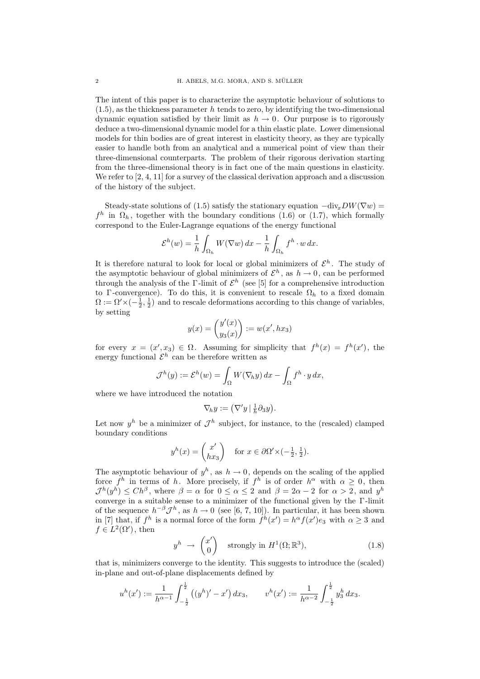The intent of this paper is to characterize the asymptotic behaviour of solutions to  $(1.5)$ , as the thickness parameter h tends to zero, by identifying the two-dimensional dynamic equation satisfied by their limit as  $h \to 0$ . Our purpose is to rigorously deduce a two-dimensional dynamic model for a thin elastic plate. Lower dimensional models for thin bodies are of great interest in elasticity theory, as they are typically easier to handle both from an analytical and a numerical point of view than their three-dimensional counterparts. The problem of their rigorous derivation starting from the three-dimensional theory is in fact one of the main questions in elasticity. We refer to [2, 4, 11] for a survey of the classical derivation approach and a discussion of the history of the subject.

Steady-state solutions of (1.5) satisfy the stationary equation  $-\text{div}_x DW(\nabla w)$  =  $f^h$  in  $\Omega_h$ , together with the boundary conditions (1.6) or (1.7), which formally correspond to the Euler-Lagrange equations of the energy functional

$$
\mathcal{E}^h(w) = \frac{1}{h} \int_{\Omega_h} W(\nabla w) \, dx - \frac{1}{h} \int_{\Omega_h} f^h \cdot w \, dx.
$$

It is therefore natural to look for local or global minimizers of  $\mathcal{E}^h$ . The study of the asymptotic behaviour of global minimizers of  $\mathcal{E}^h$ , as  $h \to 0$ , can be performed through the analysis of the  $\Gamma$ -limit of  $\mathcal{E}^h$  (see [5] for a comprehensive introduction to Γ-convergence). To do this, it is convenient to rescale  $\Omega_h$  to a fixed domain  $\Omega := \Omega' \times (-\frac{1}{2}, \frac{1}{2})$  and to rescale deformations according to this change of variables, by setting

$$
y(x) = {y'(x) \choose y_3(x)} := w(x', hx_3)
$$

for every  $x = (x', x_3) \in \Omega$ . Assuming for simplicity that  $f^h(x) = f^h(x')$ , the energy functional  $\mathcal{E}^h$  can be therefore written as

$$
\mathcal{J}^h(y) := \mathcal{E}^h(w) = \int_{\Omega} W(\nabla_h y) \, dx - \int_{\Omega} f^h \cdot y \, dx,
$$

where we have introduced the notation

$$
\nabla_h y := \big(\nabla' y \,|\, \tfrac{1}{h} \partial_3 y\big).
$$

Let now  $y^h$  be a minimizer of  $\mathcal{J}^h$  subject, for instance, to the (rescaled) clamped boundary conditions

$$
y^{h}(x) = \begin{pmatrix} x' \\ hx_3 \end{pmatrix} \quad \text{for } x \in \partial \Omega' \times (-\frac{1}{2}, \frac{1}{2}).
$$

The asymptotic behaviour of  $y^h$ , as  $h \to 0$ , depends on the scaling of the applied force  $f^h$  in terms of h. More precisely, if  $f^h$  is of order  $h^{\alpha}$  with  $\alpha \geq 0$ , then  $\mathcal{J}^h(y^h) \leq Ch^{\beta}$ , where  $\beta = \alpha$  for  $0 \leq \alpha \leq 2$  and  $\beta = 2\alpha - 2$  for  $\alpha > 2$ , and  $y^h$ converge in a suitable sense to a minimizer of the functional given by the Γ -limit of the sequence  $h^{-\beta} \mathcal{J}^h$ , as  $h \to 0$  (see [6, 7, 10]). In particular, it has been shown in [7] that, if  $f^h$  is a normal force of the form  $f^h(x') = h^{\alpha} f(x') e_3$  with  $\alpha \geq 3$  and  $f \in L^2(\Omega')$ , then

$$
y^h \to \begin{pmatrix} x' \\ 0 \end{pmatrix} \quad \text{strongly in } H^1(\Omega; \mathbb{R}^3), \tag{1.8}
$$

that is, minimizers converge to the identity. This suggests to introduce the (scaled) in-plane and out-of-plane displacements defined by

$$
u^h(x') := \frac{1}{h^{\alpha-1}} \int_{-\frac{1}{2}}^{\frac{1}{2}} ((y^h)' - x') dx_3, \qquad v^h(x') := \frac{1}{h^{\alpha-2}} \int_{-\frac{1}{2}}^{\frac{1}{2}} y_3^h dx_3.
$$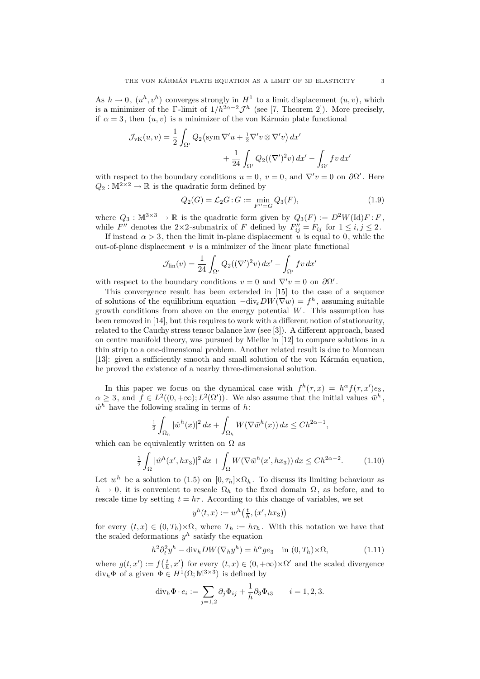As  $h \to 0$ ,  $(u^h, v^h)$  converges strongly in  $H^1$  to a limit displacement  $(u, v)$ , which is a minimizer of the Γ-limit of  $1/h^{2\alpha-2} \mathcal{J}^h$  (see [7, Theorem 2]). More precisely, if  $\alpha = 3$ , then  $(u, v)$  is a minimizer of the von Kármán plate functional

$$
\mathcal{J}_{\text{vK}}(u, v) = \frac{1}{2} \int_{\Omega'} Q_2 \left( \text{sym } \nabla' u + \frac{1}{2} \nabla' v \otimes \nabla' v \right) dx' + \frac{1}{24} \int_{\Omega'} Q_2(\left( \nabla' \right)^2 v) dx' - \int_{\Omega'} f v dx'
$$

with respect to the boundary conditions  $u = 0$ ,  $v = 0$ , and  $\nabla' v = 0$  on  $\partial \Omega'$ . Here  $Q_2 : \mathbb{M}^{2 \times 2} \to \mathbb{R}$  is the quadratic form defined by

$$
Q_2(G) = \mathcal{L}_2 G : G := \min_{F''=G} Q_3(F), \tag{1.9}
$$

where  $Q_3 : \mathbb{M}^{3 \times 3} \to \mathbb{R}$  is the quadratic form given by  $Q_3(F) := D^2W(\mathrm{Id})F : F$ , while  $F''$  denotes the 2×2-submatrix of F defined by  $F''_{ij} = F_{ij}$  for  $1 \le i, j \le 2$ .

If instead  $\alpha > 3$ , then the limit in-plane displacement u is equal to 0, while the out-of-plane displacement  $v$  is a minimizer of the linear plate functional

$$
\mathcal{J}_{\text{lin}}(v) = \frac{1}{24} \int_{\Omega'} Q_2((\nabla')^2 v) dx' - \int_{\Omega'} fv dx'
$$

with respect to the boundary conditions  $v = 0$  and  $\nabla' v = 0$  on  $\partial \Omega'$ .

This convergence result has been extended in [15] to the case of a sequence of solutions of the equilibrium equation  $-\text{div}_x DW(\nabla w) = f^h$ , assuming suitable growth conditions from above on the energy potential  $W$ . This assumption has been removed in [14], but this requires to work with a different notion of stationarity, related to the Cauchy stress tensor balance law (see [3]). A different approach, based on centre manifold theory, was pursued by Mielke in [12] to compare solutions in a thin strip to a one-dimensional problem. Another related result is due to Monneau [13]: given a sufficiently smooth and small solution of the von Kármán equation, he proved the existence of a nearby three-dimensional solution.

In this paper we focus on the dynamical case with  $f^h(\tau, x) = h^{\alpha} f(\tau, x') e_3$ ,  $\alpha \geq 3$ , and  $f \in L^2((0, +\infty); L^2(\Omega'))$ . We also assume that the initial values  $\bar{w}^h$ ,  $\hat{w}^h$  have the following scaling in terms of h:

$$
\frac{1}{2} \int_{\Omega_h} |\hat{w}^h(x)|^2 dx + \int_{\Omega_h} W(\nabla \bar{w}^h(x)) dx \le Ch^{2\alpha - 1},
$$

which can be equivalently written on  $\Omega$  as

$$
\frac{1}{2} \int_{\Omega} |\hat{w}^h(x', hx_3)|^2 dx + \int_{\Omega} W(\nabla \bar{w}^h(x', hx_3)) dx \le Ch^{2\alpha - 2}.
$$
 (1.10)

Let  $w^h$  be a solution to (1.5) on  $[0, \tau_h] \times \Omega_h$ . To discuss its limiting behaviour as  $h \to 0$ , it is convenient to rescale  $\Omega_h$  to the fixed domain  $\Omega$ , as before, and to rescale time by setting  $t = h\tau$ . According to this change of variables, we set

$$
y^h(t,x) := w^h\left(\frac{t}{h}, (x', hx_3)\right)
$$

for every  $(t, x) \in (0, T_h) \times \Omega$ , where  $T_h := h \tau_h$ . With this notation we have that the scaled deformations  $y^h$  satisfy the equation

$$
h^{2} \partial_{t}^{2} y^{h} - \text{div}_{h} DW(\nabla_{h} y^{h}) = h^{\alpha} g e_{3} \quad \text{in } (0, T_{h}) \times \Omega,
$$
\n(1.11)

where  $g(t, x') := f(\frac{t}{h}, x')$  for every  $(t, x) \in (0, +\infty) \times \Omega'$  and the scaled divergence div<sub>h</sub> $\Phi$  of a given  $\Phi \in H^1(\Omega; \mathbb{M}^{3 \times 3})$  is defined by

$$
\mathrm{div}_h \Phi \cdot e_i := \sum_{j=1,2} \partial_j \Phi_{ij} + \frac{1}{h} \partial_3 \Phi_{i3} \qquad i = 1,2,3.
$$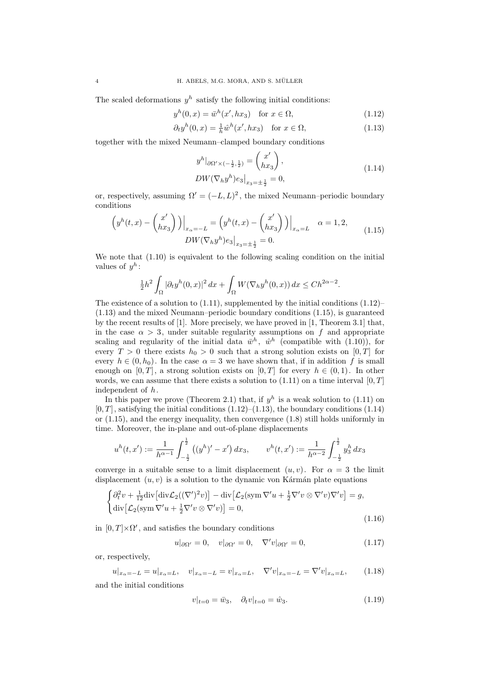The scaled deformations  $y^h$  satisfy the following initial conditions:

$$
yh(0, x) = \bar{w}h(x', hx3) \quad \text{for } x \in \Omega,
$$
\n(1.12)

$$
\partial_t y^h(0, x) = \frac{1}{h} \hat{w}^h(x', hx_3) \quad \text{for } x \in \Omega,
$$
\n(1.13)

together with the mixed Neumann–clamped boundary conditions

$$
y^{h}|_{\partial\Omega' \times (-\frac{1}{2},\frac{1}{2})} = \begin{pmatrix} x' \\ hx_3 \end{pmatrix},
$$
  
\n
$$
DW(\nabla_h y^h) e_3|_{x_3 = \pm \frac{1}{2}} = 0,
$$
\n(1.14)

or, respectively, assuming  $\Omega' = (-L, L)^2$ , the mixed Neumann–periodic boundary conditions

$$
\left(y^h(t,x) - \begin{pmatrix} x' \\ hx_3 \end{pmatrix}\right)\Big|_{x_\alpha = -L} = \left(y^h(t,x) - \begin{pmatrix} x' \\ hx_3 \end{pmatrix}\right)\Big|_{x_\alpha = L} \quad \alpha = 1, 2,
$$
\n
$$
DW(\nabla_h y^h) e_3\Big|_{x_3 = \pm \frac{1}{2}} = 0.
$$
\n(1.15)

We note that  $(1.10)$  is equivalent to the following scaling condition on the initial values of  $y^h$ :

$$
\frac{1}{2}h^2 \int_{\Omega} |\partial_t y^h(0, x)|^2 dx + \int_{\Omega} W(\nabla_h y^h(0, x)) dx \le Ch^{2\alpha - 2}.
$$

The existence of a solution to (1.11), supplemented by the initial conditions (1.12)– (1.13) and the mixed Neumann–periodic boundary conditions (1.15), is guaranteed by the recent results of [1]. More precisely, we have proved in [1, Theorem 3.1] that, in the case  $\alpha > 3$ , under suitable regularity assumptions on f and appropriate scaling and regularity of the initial data  $\bar{w}^h$ ,  $\hat{w}^h$  (compatible with (1.10)), for every  $T > 0$  there exists  $h_0 > 0$  such that a strong solution exists on [0, T] for every  $h \in (0, h_0)$ . In the case  $\alpha = 3$  we have shown that, if in addition f is small enough on [0, T], a strong solution exists on [0, T] for every  $h \in (0,1)$ . In other words, we can assume that there exists a solution to  $(1.11)$  on a time interval  $[0, T]$ independent of h.

In this paper we prove (Theorem 2.1) that, if  $y^h$  is a weak solution to (1.11) on  $[0, T]$ , satisfying the initial conditions  $(1.12)$ – $(1.13)$ , the boundary conditions  $(1.14)$ or (1.15), and the energy inequality, then convergence (1.8) still holds uniformly in time. Moreover, the in-plane and out-of-plane displacements

$$
u^{h}(t,x') := \frac{1}{h^{\alpha-1}} \int_{-\frac{1}{2}}^{\frac{1}{2}} ((y^{h})' - x') dx_3, \qquad v^{h}(t,x') := \frac{1}{h^{\alpha-2}} \int_{-\frac{1}{2}}^{\frac{1}{2}} y_3^{h} dx_3
$$

converge in a suitable sense to a limit displacement  $(u, v)$ . For  $\alpha = 3$  the limit displacement  $(u, v)$  is a solution to the dynamic von Kármán plate equations

$$
\begin{cases} \partial_t^2 v + \frac{1}{12} \text{div} \left[ \text{div} \mathcal{L}_2((\nabla')^2 v) \right] - \text{div} \left[ \mathcal{L}_2(\text{sym}\,\nabla' u + \frac{1}{2}\nabla' v \otimes \nabla' v) \nabla' v \right] = g, \\ \text{div} \left[ \mathcal{L}_2(\text{sym}\,\nabla' u + \frac{1}{2}\nabla' v \otimes \nabla' v) \right] = 0, \end{cases}
$$
\n(1.16)

in  $[0, T] \times \Omega'$ , and satisfies the boundary conditions

$$
u|_{\partial\Omega'} = 0, \quad v|_{\partial\Omega'} = 0, \quad \nabla' v|_{\partial\Omega'} = 0,
$$
\n(1.17)

or, respectively,

$$
u|_{x_{\alpha}=-L} = u|_{x_{\alpha}=L}, \quad v|_{x_{\alpha}=-L} = v|_{x_{\alpha}=L}, \quad \nabla' v|_{x_{\alpha}=-L} = \nabla' v|_{x_{\alpha}=L}, \quad (1.18)
$$

and the initial conditions

$$
v|_{t=0} = \bar{w}_3, \quad \partial_t v|_{t=0} = \hat{w}_3. \tag{1.19}
$$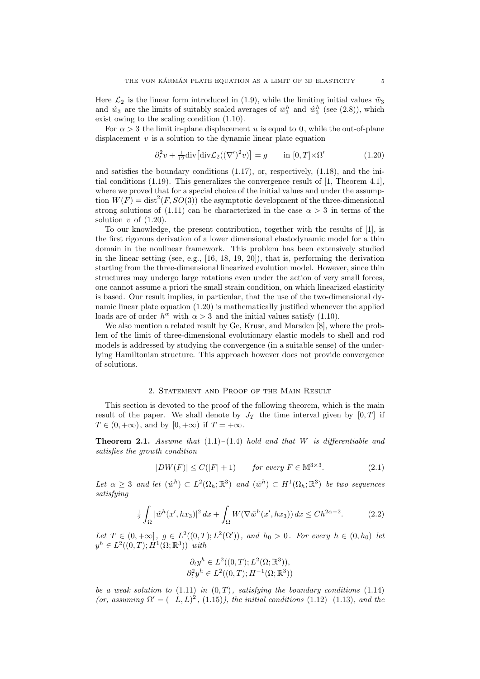Here  $\mathcal{L}_2$  is the linear form introduced in (1.9), while the limiting initial values  $\bar{w}_3$ and  $\hat{w}_3$  are the limits of suitably scaled averages of  $\bar{w}_3^h$  and  $\hat{w}_3^h$  (see (2.8)), which exist owing to the scaling condition (1.10).

For  $\alpha > 3$  the limit in-plane displacement u is equal to 0, while the out-of-plane displacement  $v$  is a solution to the dynamic linear plate equation

$$
\partial_t^2 v + \frac{1}{12} \text{div} \left[ \text{div} \mathcal{L}_2((\nabla')^2 v) \right] = g \qquad \text{in } [0, T] \times \Omega' \tag{1.20}
$$

and satisfies the boundary conditions (1.17), or, respectively, (1.18), and the initial conditions (1.19). This generalizes the convergence result of [1, Theorem 4.1], where we proved that for a special choice of the initial values and under the assumption  $W(F) = \text{dist}^2(F, SO(3))$  the asymptotic development of the three-dimensional strong solutions of (1.11) can be characterized in the case  $\alpha > 3$  in terms of the solution  $v$  of  $(1.20)$ .

To our knowledge, the present contribution, together with the results of [1], is the first rigorous derivation of a lower dimensional elastodynamic model for a thin domain in the nonlinear framework. This problem has been extensively studied in the linear setting (see, e.g., [16, 18, 19, 20]), that is, performing the derivation starting from the three-dimensional linearized evolution model. However, since thin structures may undergo large rotations even under the action of very small forces, one cannot assume a priori the small strain condition, on which linearized elasticity is based. Our result implies, in particular, that the use of the two-dimensional dynamic linear plate equation (1.20) is mathematically justified whenever the applied loads are of order  $h^{\alpha}$  with  $\alpha > 3$  and the initial values satisfy (1.10).

We also mention a related result by Ge, Kruse, and Marsden [8], where the problem of the limit of three-dimensional evolutionary elastic models to shell and rod models is addressed by studying the convergence (in a suitable sense) of the underlying Hamiltonian structure. This approach however does not provide convergence of solutions.

## 2. Statement and Proof of the Main Result

This section is devoted to the proof of the following theorem, which is the main result of the paper. We shall denote by  $J_T$  the time interval given by  $[0, T]$  if  $T \in (0, +\infty)$ , and by  $[0, +\infty)$  if  $T = +\infty$ .

**Theorem 2.1.** Assume that  $(1.1)$ – $(1.4)$  hold and that W is differentiable and satisfies the growth condition

$$
|DW(F)| \le C(|F| + 1) \qquad \text{for every } F \in \mathbb{M}^{3 \times 3}.
$$
 (2.1)

Let  $\alpha \geq 3$  and let  $(\hat{w}^h) \subset L^2(\Omega_h; \mathbb{R}^3)$  and  $(\bar{w}^h) \subset H^1(\Omega_h; \mathbb{R}^3)$  be two sequences satisfying

$$
\frac{1}{2} \int_{\Omega} |\hat{w}^h(x', hx_3)|^2 dx + \int_{\Omega} W(\nabla \bar{w}^h(x', hx_3)) dx \le Ch^{2\alpha - 2}.
$$
 (2.2)

Let  $T \in (0, +\infty]$ ,  $g \in L^2((0, T); L^2(\Omega'))$ , and  $h_0 > 0$ . For every  $h \in (0, h_0)$  let  $y^h \in L^2((0,T); \dot{H}^1(\Omega;\mathbb{R}^3))$  with

$$
\partial_t y^h \in L^2((0,T); L^2(\Omega;\mathbb{R}^3)),
$$
  

$$
\partial_t^2 y^h \in L^2((0,T); H^{-1}(\Omega;\mathbb{R}^3))
$$

be a weak solution to  $(1.11)$  in  $(0,T)$ , satisfying the boundary conditions  $(1.14)$ (or, assuming  $\Omega' = (-L, L)^2$ , (1.15)), the initial conditions (1.12)–(1.13), and the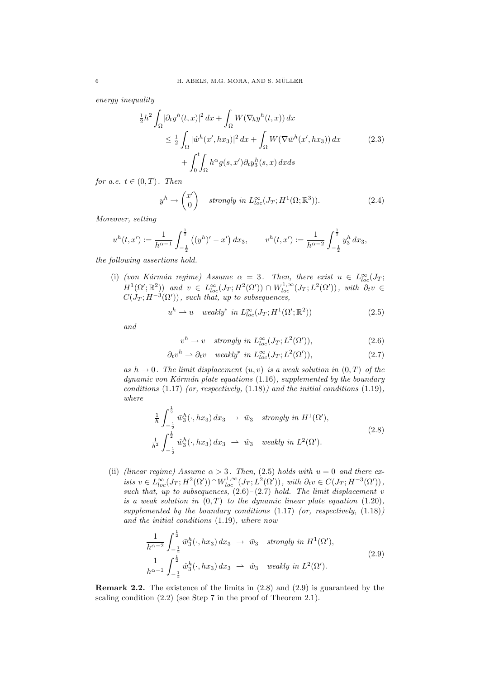energy inequality

$$
\frac{1}{2}h^2 \int_{\Omega} |\partial_t y^h(t, x)|^2 dx + \int_{\Omega} W(\nabla_h y^h(t, x)) dx
$$
\n
$$
\leq \frac{1}{2} \int_{\Omega} |\hat{w}^h(x', hx_3)|^2 dx + \int_{\Omega} W(\nabla \bar{w}^h(x', hx_3)) dx
$$
\n
$$
+ \int_0^t \int_{\Omega} h^{\alpha} g(s, x') \partial_t y_3^h(s, x) dx ds
$$
\n(2.3)

for a.e.  $t \in (0, T)$ . Then

$$
y^h \to \begin{pmatrix} x' \\ 0 \end{pmatrix} \quad strongly \ in \ L_{loc}^{\infty}(J_T; H^1(\Omega; \mathbb{R}^3)). \tag{2.4}
$$

Moreover, setting

$$
u^h(t,x') := \frac{1}{h^{\alpha-1}} \int_{-\frac{1}{2}}^{\frac{1}{2}} ((y^h)' - x') dx_3, \qquad v^h(t,x') := \frac{1}{h^{\alpha-2}} \int_{-\frac{1}{2}}^{\frac{1}{2}} y_3^h dx_3,
$$

the following assertions hold.

(i) (von Kármán regime) Assume  $\alpha = 3$ . Then, there exist  $u \in L^{\infty}_{loc}(J_T;$  $H^1(\Omega';\mathbb{R}^2)$  and  $v \in L^{\infty}_{loc}(J_T;H^2(\Omega')) \cap W^{1,\infty}_{loc}(J_T;L^2(\Omega'))$ , with  $\partial_t v \in$  $C(J_T; H^{-3}(\Omega'))$ , such that, up to subsequences,

$$
u^{h} \rightharpoonup u \quad weakly^{*} \text{ in } L_{loc}^{\infty}(J_{T}; H^{1}(\Omega'; \mathbb{R}^{2})) \tag{2.5}
$$

and

$$
v^{h} \to v \quad strongly \ in \ L_{loc}^{\infty}(J_{T}; L^{2}(\Omega')), \qquad (2.6)
$$

$$
\partial_t v^h \rightharpoonup \partial_t v \quad weakly^* \ in \ L_{loc}^{\infty}(J_T; L^2(\Omega')), \tag{2.7}
$$

as  $h \to 0$ . The limit displacement  $(u, v)$  is a weak solution in  $(0, T)$  of the  $dynamic\ von\ Kármán\ plate\ equations\ (1.16),\ supplemented\ by\ the\ boundary$ conditions  $(1.17)$  (or, respectively,  $(1.18)$ ) and the initial conditions  $(1.19)$ , where

$$
\frac{1}{h} \int_{-\frac{1}{2}}^{\frac{1}{2}} \bar{w}_3^h(\cdot, hx_3) dx_3 \rightarrow \bar{w}_3 \text{ strongly in } H^1(\Omega'),
$$
\n
$$
\frac{1}{h^2} \int_{-\frac{1}{2}}^{\frac{1}{2}} \hat{w}_3^h(\cdot, hx_3) dx_3 \rightarrow \hat{w}_3 \text{ weakly in } L^2(\Omega').
$$
\n(2.8)

(ii) (linear regime) Assume  $\alpha > 3$ . Then, (2.5) holds with  $u = 0$  and there exists  $v \in L^{\infty}_{loc}(J_T; H^2(\Omega')) \cap W^{1,\infty}_{loc}(J_T; L^2(\Omega'))$ , with  $\partial_t v \in C(J_T; H^{-3}(\Omega'))$ , such that, up to subsequences,  $(2.6)$ – $(2.7)$  hold. The limit displacement v is a weak solution in  $(0, T)$  to the dynamic linear plate equation  $(1.20)$ , supplemented by the boundary conditions  $(1.17)$  (or, respectively,  $(1.18)$ ) and the initial conditions (1.19), where now

$$
\frac{1}{h^{\alpha-2}} \int_{-\frac{1}{2}}^{\frac{1}{2}} \bar{w}_3^h(\cdot, hx_3) dx_3 \rightarrow \bar{w}_3 \text{ strongly in } H^1(\Omega'),
$$
\n
$$
\frac{1}{h^{\alpha-1}} \int_{-\frac{1}{2}}^{\frac{1}{2}} \hat{w}_3^h(\cdot, hx_3) dx_3 \rightarrow \hat{w}_3 \text{ weakly in } L^2(\Omega').
$$
\n(2.9)

Remark 2.2. The existence of the limits in (2.8) and (2.9) is guaranteed by the scaling condition (2.2) (see Step 7 in the proof of Theorem 2.1).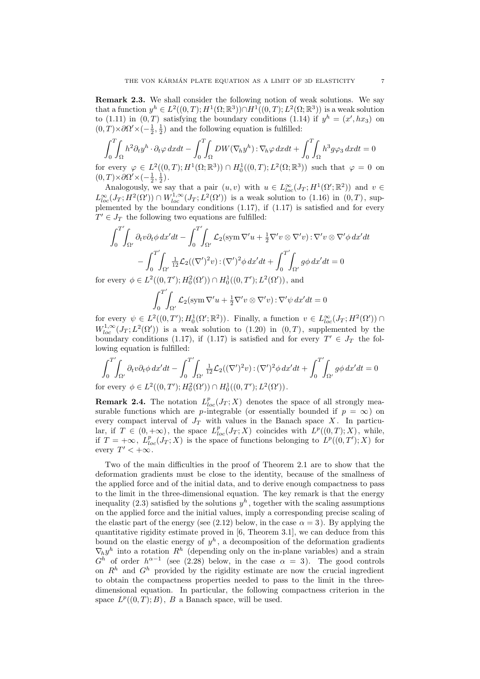Remark 2.3. We shall consider the following notion of weak solutions. We say that a function  $y^h \in L^2((0,T); H^1(\Omega;\mathbb{R}^3)) \cap H^1((0,T); L^2(\Omega;\mathbb{R}^3))$  is a weak solution to (1.11) in  $(0,T)$  satisfying the boundary conditions (1.14) if  $y^h = (x', hx_3)$  on  $(0,T) \times \partial \Omega' \times (-\frac{1}{2}, \frac{1}{2})$  and the following equation is fulfilled:

$$
\int_0^T \int_{\Omega} h^2 \partial_t y^h \cdot \partial_t \varphi \, dxdt - \int_0^T \int_{\Omega} DW(\nabla_h y^h) : \nabla_h \varphi \, dxdt + \int_0^T \int_{\Omega} h^3 g \varphi_3 \, dxdt = 0
$$

for every  $\varphi \in L^2((0,T); H^1(\Omega;\mathbb{R}^3)) \cap H_0^1((0,T); L^2(\Omega;\mathbb{R}^3))$  such that  $\varphi = 0$  on  $(0, T) \times \partial \Omega' \times (-\frac{1}{2}, \frac{1}{2}).$ 

Analogously, we say that a pair  $(u, v)$  with  $u \in L^{\infty}_{loc}(J_T; H^1(\Omega'; \mathbb{R}^2))$  and  $v \in$  $L^{\infty}_{loc}(J_T; H^2(\Omega')) \cap W^{1,\infty}_{loc}(J_T; L^2(\Omega'))$  is a weak solution to (1.16) in  $(0,T)$ , supplemented by the boundary conditions  $(1.17)$ , if  $(1.17)$  is satisfied and for every  $T' \in J_T$  the following two equations are fulfilled:

$$
\int_0^{T'} \int_{\Omega'} \partial_t v \partial_t \phi \, dx' dt - \int_0^{T'} \int_{\Omega'} \mathcal{L}_2(\text{sym}\,\nabla' u + \frac{1}{2}\nabla' v \otimes \nabla' v) : \nabla' v \otimes \nabla' \phi \, dx' dt \n- \int_0^{T'} \int_{\Omega'} \frac{1}{12} \mathcal{L}_2((\nabla')^2 v) : (\nabla')^2 \phi \, dx' dt + \int_0^{T'} \int_{\Omega'} g \phi \, dx' dt = 0 \n\text{every } \phi \in L^2((0, T') : H^2_{\alpha}(\Omega')) \cap H^1_0((0, T') : L^2(\Omega')). \text{ and}
$$

for every  $\phi \in L^2((0,T'); H_0^2(\Omega')) \cap H_0^1((0,T'); L^2(\Omega'))$ , and

$$
\int_0^{T'}\!\!\!\int_{\Omega'}\mathcal{L}_2(\operatorname{sym} \nabla' u + \frac{1}{2}\nabla' v \otimes \nabla' v) : \nabla' \psi \, dx' dt = 0
$$

for every  $\psi \in L^2((0,T'); H_0^1(\Omega'; \mathbb{R}^2))$ . Finally, a function  $v \in L^{\infty}_{loc}(J_T; H^2(\Omega'))$  $W^{1,\infty}_{loc}(J_T;L^2(\Omega'))$  is a weak solution to  $(1.20)$  in  $(0,T)$ , supplemented by the boundary conditions (1.17), if (1.17) is satisfied and for every  $T' \in J_T$  the following equation is fulfilled:

$$
\int_0^{T'}\!\!\!\int_{\Omega'} \partial_t v \partial_t \phi \, dx' dt - \int_0^{T'}\!\!\!\int_{\Omega'} \frac{1}{12} \mathcal{L}_2((\nabla')^2 v) : (\nabla')^2 \phi \, dx' dt + \int_0^{T'}\!\!\!\int_{\Omega'} g \phi \, dx' dt = 0
$$
\n
$$
\text{for every } \phi \in L^2((0, T'); H_0^2(\Omega')) \cap H_0^1((0, T'); L^2(\Omega')).
$$

**Remark 2.4.** The notation  $L_{loc}^p(J_T; X)$  denotes the space of all strongly measurable functions which are p-integrable (or essentially bounded if  $p = \infty$ ) on every compact interval of  $J_T$  with values in the Banach space X. In particular, if  $T \in (0, +\infty)$ , the space  $L_{loc}^p(J_T; X)$  coincides with  $L^p((0,T); X)$ , while, if  $T = +\infty$ ,  $L_{loc}^p(J_T; X)$  is the space of functions belonging to  $L^p((0,T'); X)$  for every  $T' < +\infty$ .

Two of the main difficulties in the proof of Theorem 2.1 are to show that the deformation gradients must be close to the identity, because of the smallness of the applied force and of the initial data, and to derive enough compactness to pass to the limit in the three-dimensional equation. The key remark is that the energy inequality (2.3) satisfied by the solutions  $y^h$ , together with the scaling assumptions on the applied force and the initial values, imply a corresponding precise scaling of the elastic part of the energy (see (2.12) below, in the case  $\alpha = 3$ ). By applying the quantitative rigidity estimate proved in  $[6,$  Theorem 3.1], we can deduce from this bound on the elastic energy of  $y^h$ , a decomposition of the deformation gradients  $\nabla_h y^h$  into a rotation  $R^h$  (depending only on the in-plane variables) and a strain  $G<sup>h</sup>$  of order  $h<sup>\alpha-1</sup>$  (see (2.28) below, in the case  $\alpha = 3$ ). The good controls on  $R<sup>h</sup>$  and  $G<sup>h</sup>$  provided by the rigidity estimate are now the crucial ingredient to obtain the compactness properties needed to pass to the limit in the threedimensional equation. In particular, the following compactness criterion in the space  $L^p((0,T);B)$ , B a Banach space, will be used.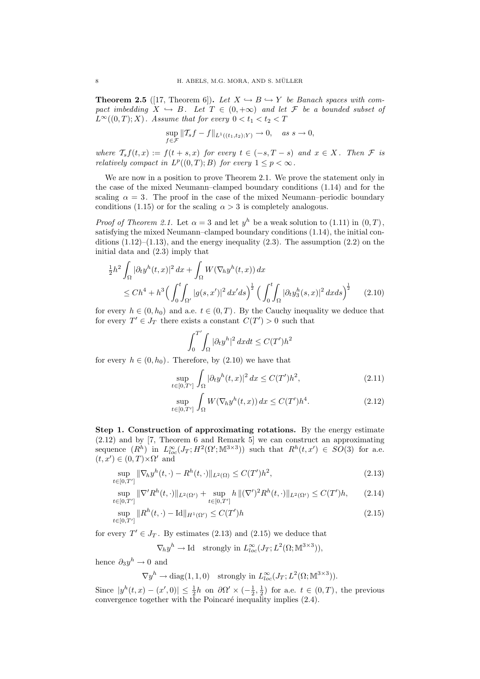**Theorem 2.5** ([17, Theorem 6]). Let  $X \hookrightarrow B \hookrightarrow Y$  be Banach spaces with compact imbedding  $X \hookrightarrow B$ . Let  $T \in (0, +\infty)$  and let F be a bounded subset of  $L^{\infty}((0,T);X)$ . Assume that for every  $0 < t_1 < t_2 < T$ 

$$
\sup_{f \in \mathcal{F}} \|T_s f - f\|_{L^1((t_1, t_2); Y)} \to 0, \quad \text{as } s \to 0,
$$

where  $T_s f(t, x) := f(t + s, x)$  for every  $t \in (-s, T - s)$  and  $x \in X$ . Then  $\mathcal F$  is relatively compact in  $L^p((0,T);B)$  for every  $1 \leq p < \infty$ .

We are now in a position to prove Theorem 2.1. We prove the statement only in the case of the mixed Neumann–clamped boundary conditions (1.14) and for the scaling  $\alpha = 3$ . The proof in the case of the mixed Neumann–periodic boundary conditions (1.15) or for the scaling  $\alpha > 3$  is completely analogous.

*Proof of Theorem 2.1.* Let  $\alpha = 3$  and let  $y^h$  be a weak solution to (1.11) in  $(0, T)$ , satisfying the mixed Neumann–clamped boundary conditions (1.14), the initial conditions  $(1.12)$ – $(1.13)$ , and the energy inequality  $(2.3)$ . The assumption  $(2.2)$  on the initial data and (2.3) imply that

$$
\frac{1}{2}h^2 \int_{\Omega} |\partial_t y^h(t,x)|^2 dx + \int_{\Omega} W(\nabla_h y^h(t,x)) dx
$$
  
\n
$$
\leq Ch^4 + h^3 \Big( \int_0^t \int_{\Omega'} |g(s,x')|^2 dx' ds \Big)^{\frac{1}{2}} \Big( \int_0^t \int_{\Omega} |\partial_t y_3^h(s,x)|^2 dx ds \Big)^{\frac{1}{2}} \qquad (2.10)
$$

for every  $h \in (0, h_0)$  and a.e.  $t \in (0, T)$ . By the Cauchy inequality we deduce that for every  $T' \in J_T$  there exists a constant  $C(T') > 0$  such that

$$
\int_0^{T'} \int_{\Omega} |\partial_t y^h|^2 dx dt \le C(T')h^2
$$

for every  $h \in (0, h_0)$ . Therefore, by  $(2.10)$  we have that

$$
\sup_{t\in[0,T']} \int_{\Omega} |\partial_t y^h(t,x)|^2 dx \le C(T')h^2,
$$
\n(2.11)

$$
\sup_{t \in [0,T']} \int_{\Omega} W(\nabla_h y^h(t,x)) dx \le C(T')h^4.
$$
\n(2.12)

Step 1. Construction of approximating rotations. By the energy estimate (2.12) and by [7, Theorem 6 and Remark 5] we can construct an approximating sequence  $(R^h)$  in  $L^{\infty}_{loc}(J_T; H^2(\Omega'; \mathbb{M}^{3\times3}))$  such that  $R^h(t,x') \in SO(3)$  for a.e.  $(t, x') \in (0, T) \times \Omega'$  and

$$
\sup_{t \in [0,T']} \|\nabla_h y^h(t,\cdot) - R^h(t,\cdot)\|_{L^2(\Omega)} \le C(T')h^2,
$$
\n(2.13)

$$
\sup_{t \in [0,T']} \|\nabla^{\prime} R^h(t,\cdot)\|_{L^2(\Omega')} + \sup_{t \in [0,T']} h\|(\nabla^{\prime})^2 R^h(t,\cdot)\|_{L^2(\Omega')} \le C(T')h, \qquad (2.14)
$$

$$
\sup_{t \in [0,T']} \|R^h(t,\cdot) - \mathrm{Id}\|_{H^1(\Omega')} \le C(T')h \tag{2.15}
$$

for every  $T' \in J_T$ . By estimates (2.13) and (2.15) we deduce that

$$
\nabla_h y^h \to \text{Id} \quad \text{strongly in } L^{\infty}_{loc}(J_T; L^2(\Omega; \mathbb{M}^{3 \times 3})),
$$

hence  $\partial_3 y^h \to 0$  and

$$
\nabla y^h \to \text{diag}(1, 1, 0) \quad \text{strongly in } L^{\infty}_{loc}(J_T; L^2(\Omega; \mathbb{M}^{3 \times 3})).
$$

Since  $|y^h(t,x) - (x',0)| \leq \frac{1}{2}h$  on  $\partial\Omega' \times (-\frac{1}{2},\frac{1}{2})$  for a.e.  $t \in (0,T)$ , the previous convergence together with the Poincaré inequality implies  $(2.4)$ .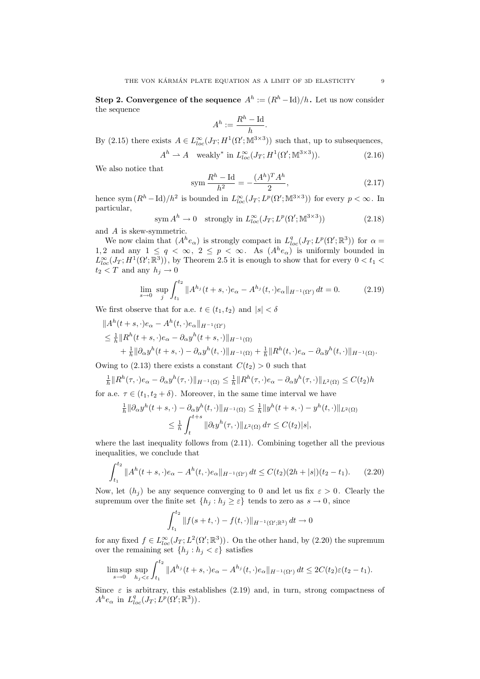Step 2. Convergence of the sequence  $A^h := (R^h - \text{Id})/h$ . Let us now consider the sequence

$$
A^h := \frac{R^h - \mathrm{Id}}{h}.
$$

By (2.15) there exists  $A \in L^{\infty}_{loc}(J_T; H^1(\Omega'; \mathbb{M}^{3 \times 3}))$  such that, up to subsequences,

$$
Ah \rightharpoonup A \quad \text{weakly* in } L^{\infty}_{loc}(J_T; H^1(\Omega'; \mathbb{M}^{3 \times 3})). \tag{2.16}
$$

We also notice that

$$
\text{sym } \frac{R^h - \text{Id}}{h^2} = -\frac{(A^h)^T A^h}{2},\tag{2.17}
$$

hence sym $(R^h - \text{Id})/h^2$  is bounded in  $L^{\infty}_{loc}(J_T; L^p(\Omega'; \mathbb{M}^{3 \times 3}))$  for every  $p < \infty$ . In particular,

$$
\text{sym } A^h \to 0 \quad \text{strongly in } L^{\infty}_{loc}(J_T; L^p(\Omega'; \mathbb{M}^{3 \times 3})) \tag{2.18}
$$

and A is skew-symmetric.

We now claim that  $(A^h e_\alpha)$  is strongly compact in  $L^q_{loc}(J_T; L^p(\Omega'; \mathbb{R}^3))$  for  $\alpha =$ 1,2 and any  $1 \leq q < \infty$ ,  $2 \leq p < \infty$ . As  $(A^{h}e_{\alpha})$  is uniformly bounded in  $L^{\infty}_{loc}(J_T; H^1(\Omega'; \mathbb{R}^3))$ , by Theorem 2.5 it is enough to show that for every  $0 < t_1 <$  $t_2 < T$  and any  $h_i \to 0$ 

$$
\lim_{s \to 0} \sup_{j} \int_{t_1}^{t_2} \|A^{h_j}(t+s,\cdot)e_\alpha - A^{h_j}(t,\cdot)e_\alpha\|_{H^{-1}(\Omega')} dt = 0.
$$
 (2.19)

We first observe that for a.e.  $t \in (t_1, t_2)$  and  $|s| < \delta$ 

$$
\|A^h(t+s,\cdot)e_\alpha - A^h(t,\cdot)e_\alpha\|_{H^{-1}(\Omega')}
$$
  
\n
$$
\leq \frac{1}{h} \|R^h(t+s,\cdot)e_\alpha - \partial_\alpha y^h(t+s,\cdot)\|_{H^{-1}(\Omega)}
$$
  
\n
$$
+ \frac{1}{h} \|\partial_\alpha y^h(t+s,\cdot) - \partial_\alpha y^h(t,\cdot)\|_{H^{-1}(\Omega)} + \frac{1}{h} \|R^h(t,\cdot)e_\alpha - \partial_\alpha y^h(t,\cdot)\|_{H^{-1}(\Omega)}.
$$

Owing to (2.13) there exists a constant  $C(t_2) > 0$  such that

$$
\frac{1}{h}||R^h(\tau, \cdot)e_\alpha - \partial_\alpha y^h(\tau, \cdot)||_{H^{-1}(\Omega)} \le \frac{1}{h}||R^h(\tau, \cdot)e_\alpha - \partial_\alpha y^h(\tau, \cdot)||_{L^2(\Omega)} \le C(t_2)h
$$
  
for a.e.  $\tau \in (t_1, t_2 + \delta)$ . Moreover, in the same time interval we have

$$
\frac{1}{h} \|\partial_{\alpha} y^h(t+s,\cdot) - \partial_{\alpha} y^h(t,\cdot)\|_{H^{-1}(\Omega)} \le \frac{1}{h} \|y^h(t+s,\cdot) - y^h(t,\cdot)\|_{L^2(\Omega)}
$$
  

$$
\le \frac{1}{h} \int_t^{t+s} \|\partial_t y^h(\tau,\cdot)\|_{L^2(\Omega)} d\tau \le C(t_2)|s|,
$$

where the last inequality follows from (2.11). Combining together all the previous inequalities, we conclude that

$$
\int_{t_1}^{t_2} \|A^h(t+s,\cdot)e_\alpha - A^h(t,\cdot)e_\alpha\|_{H^{-1}(\Omega')} dt \le C(t_2)(2h+|s|)(t_2-t_1). \tag{2.20}
$$

Now, let  $(h_i)$  be any sequence converging to 0 and let us fix  $\varepsilon > 0$ . Clearly the supremum over the finite set  $\{h_j : h_j \geq \varepsilon\}$  tends to zero as  $s \to 0$ , since

$$
\int_{t_1}^{t_2} \|f(s+t,\cdot)-f(t,\cdot)\|_{H^{-1}(\Omega';\mathbb{R}^3)} dt \to 0
$$

for any fixed  $f \in L^{\infty}_{loc}(J_T; L^2(\Omega'; \mathbb{R}^3))$ . On the other hand, by (2.20) the supremum over the remaining set  $\{h_j : h_j < \varepsilon\}$  satisfies

$$
\limsup_{s \to 0} \sup_{h_j < \varepsilon} \int_{t_1}^{t_2} \|A^{h_j}(t+s,\cdot)e_\alpha - A^{h_j}(t,\cdot)e_\alpha\|_{H^{-1}(\Omega')} dt \le 2C(t_2)\varepsilon(t_2 - t_1).
$$

Since  $\varepsilon$  is arbitrary, this establishes (2.19) and, in turn, strong compactness of  $A^{h}e_{\alpha}$  in  $L_{loc}^{q}(J_T; L^p(\Omega'; \mathbb{R}^3))$ .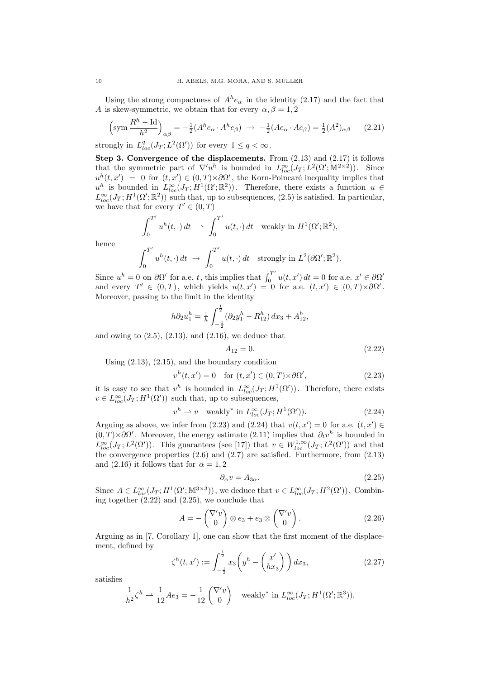Using the strong compactness of  $A^h e_\alpha$  in the identity (2.17) and the fact that A is skew-symmetric, we obtain that for every  $\alpha, \beta = 1, 2$ 

$$
\left(\operatorname{sym}\frac{R^h - \operatorname{Id}}{h^2}\right)_{\alpha\beta} = -\frac{1}{2}(A^h e_\alpha \cdot A^h e_\beta) \rightarrow -\frac{1}{2}(A e_\alpha \cdot A e_\beta) = \frac{1}{2}(A^2)_{\alpha\beta} \tag{2.21}
$$

strongly in  $L^q_{loc}(J_T; L^2(\Omega'))$  for every  $1 \le q < \infty$ .

Step 3. Convergence of the displacements. From  $(2.13)$  and  $(2.17)$  it follows that the symmetric part of  $\nabla'u^h$  is bounded in  $L^{\infty}_{loc}(J_T; L^2(\Omega'; \mathbb{M}^{2 \times 2}))$ . Since  $u^h(t, x') = 0$  for  $(t, x') \in (0, T) \times \partial \Omega'$ , the Korn-Poincaré inequality implies that  $u^h$  is bounded in  $L^{\infty}_{loc}(J_T; H^1(\Omega'; \mathbb{R}^2))$ . Therefore, there exists a function  $u \in$  $L^{\infty}_{loc}(J_T; H^1(\Omega'; \mathbb{R}^2))$  such that, up to subsequences, (2.5) is satisfied. In particular, we have that for every  $T' \in (0, T)$ 

$$
\int_0^{T'} u^h(t,\cdot) dt \rightharpoonup \int_0^{T'} u(t,\cdot) dt \quad \text{weakly in } H^1(\Omega';\mathbb{R}^2),
$$

hence

$$
\int_0^{T'} u^h(t,\cdot) dt \rightarrow \int_0^{T'} u(t,\cdot) dt \text{ strongly in } L^2(\partial\Omega';\mathbb{R}^2).
$$

Since  $u^h = 0$  on  $\partial \Omega'$  for a.e. t, this implies that  $\int_0^{T'}$  $\int_0^T u(t, x') dt = 0$  for a.e.  $x' \in \partial \Omega'$ and every  $T' \in (0,T)$ , which yields  $u(t,x') = 0$  for a.e.  $(t,x') \in (0,T) \times \partial \Omega'$ . Moreover, passing to the limit in the identity

$$
h\partial_2 u_1^h = \frac{1}{h} \int_{-\frac{1}{2}}^{\frac{1}{2}} (\partial_2 y_1^h - R_{12}^h) \, dx_3 + A_{12}^h,
$$

and owing to  $(2.5)$ ,  $(2.13)$ , and  $(2.16)$ , we deduce that

$$
A_{12} = 0.\t\t(2.22)
$$

Using (2.13), (2.15), and the boundary condition

$$
vh(t, x') = 0 \quad \text{for } (t, x') \in (0, T) \times \partial \Omega', \tag{2.23}
$$

it is easy to see that  $v^h$  is bounded in  $L^{\infty}_{loc}(J_T; H^1(\Omega'))$ . Therefore, there exists  $v \in L^{\infty}_{loc}(J_T; H^1(\Omega'))$  such that, up to subsequences,

$$
v^{h} \rightharpoonup v \quad \text{weakly* in } L_{loc}^{\infty}(J_{T}; H^{1}(\Omega')). \tag{2.24}
$$

Arguing as above, we infer from (2.23) and (2.24) that  $v(t, x') = 0$  for a.e.  $(t, x') \in$  $(0,T) \times \partial \Omega'$ . Moreover, the energy estimate (2.11) implies that  $\partial_t v^h$  is bounded in  $L^{\infty}_{loc}(J_T; L^2(\Omega'))$ . This guarantees (see [17]) that  $v \in W^{1,\infty}_{loc}(J_T; L^2(\Omega'))$  and that the convergence properties  $(2.6)$  and  $(2.7)$  are satisfied. Furthermore, from  $(2.13)$ and (2.16) it follows that for  $\alpha = 1, 2$ 

$$
\partial_{\alpha} v = A_{3\alpha}.\tag{2.25}
$$

Since  $A \in L^{\infty}_{loc}(J_T; H^1(\Omega'; \mathbb{M}^{3\times 3}))$ , we deduce that  $v \in L^{\infty}_{loc}(J_T; H^2(\Omega'))$ . Combining together  $(2.22)$  and  $(2.25)$ , we conclude that

$$
A = -\begin{pmatrix} \nabla' v \\ 0 \end{pmatrix} \otimes e_3 + e_3 \otimes \begin{pmatrix} \nabla' v \\ 0 \end{pmatrix}.
$$
 (2.26)

Arguing as in [7, Corollary 1], one can show that the first moment of the displacement, defined by

$$
\zeta^{h}(t,x') := \int_{-\frac{1}{2}}^{\frac{1}{2}} x_3 \left( y^h - \begin{pmatrix} x' \\ hx_3 \end{pmatrix} \right) dx_3, \qquad (2.27)
$$

satisfies

$$
\frac{1}{h^2}\zeta^h \rightharpoonup \frac{1}{12}Ae_3 = -\frac{1}{12}\begin{pmatrix} \nabla' v \\ 0 \end{pmatrix} \quad \text{weakly* in } L^{\infty}_{loc}(J_T; H^1(\Omega'; \mathbb{R}^3)).
$$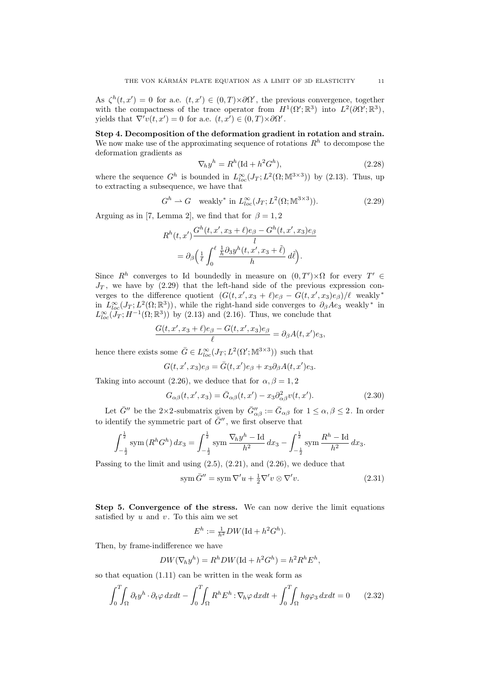As  $\zeta^h(t,x') = 0$  for a.e.  $(t,x') \in (0,T) \times \partial \Omega'$ , the previous convergence, together with the compactness of the trace operator from  $H^1(\Omega';\mathbb{R}^3)$  into  $L^2(\partial\Omega';\mathbb{R}^3)$ , yields that  $\nabla' v(t, x') = 0$  for a.e.  $(t, x') \in (0, T) \times \partial \Omega'$ .

Step 4. Decomposition of the deformation gradient in rotation and strain. We now make use of the approximating sequence of rotations  $R<sup>h</sup>$  to decompose the deformation gradients as

$$
\nabla_h y^h = R^h (\text{Id} + h^2 G^h),\tag{2.28}
$$

where the sequence  $G^h$  is bounded in  $L^{\infty}_{loc}(J_T; L^2(\Omega; \mathbb{M}^{3 \times 3}))$  by (2.13). Thus, up to extracting a subsequence, we have that

$$
G^h \rightharpoonup G \quad \text{weakly* in } L^{\infty}_{loc}(J_T; L^2(\Omega; \mathbb{M}^{3 \times 3})). \tag{2.29}
$$

Arguing as in [7, Lemma 2], we find that for  $\beta = 1, 2$ 

$$
R^{h}(t, x') \frac{G^{h}(t, x', x_{3} + \ell)e_{\beta} - G^{h}(t, x', x_{3})e_{\beta}}{l}
$$
  
=  $\partial_{\beta} \left( \frac{1}{\ell} \int_{0}^{\ell} \frac{\frac{1}{h} \partial_{3} y^{h}(t, x', x_{3} + \tilde{\ell})}{h} d\tilde{\ell} \right).$ 

Since  $R^h$  converges to Id boundedly in measure on  $(0,T')\times\Omega$  for every  $T' \in$  $J_T$ , we have by  $(2.29)$  that the left-hand side of the previous expression converges to the difference quotient  $(G(t, x', x_3 + \ell)e_\beta - G(t, x', x_3)e_\beta)/\ell$  weakly<sup>\*</sup> in  $L^{\infty}_{loc}(J_T; L^2(\Omega;\mathbb{R}^3))$ , while the right-hand side converges to  $\partial_{\beta}A_{2}$  weakly <sup>\*</sup> in  $L^{\infty}_{loc}(\mathcal{J}_T; H^{-1}(\Omega;\mathbb{R}^3))$  by (2.13) and (2.16). Thus, we conclude that

$$
\frac{G(t, x', x_3 + \ell)e_{\beta} - G(t, x', x_3)e_{\beta}}{\ell} = \partial_{\beta}A(t, x')e_3,
$$

hence there exists some  $\bar{G} \in L^{\infty}_{loc}(J_T; L^2(\Omega'; \mathbb{M}^{3 \times 3}))$  such that

 $G(t, x', x_3)e_\beta = \overline{G}(t, x')e_\beta + x_3\partial_\beta A(t, x')e_3.$ 

Taking into account (2.26), we deduce that for  $\alpha, \beta = 1, 2$ 

$$
G_{\alpha\beta}(t, x', x_3) = \bar{G}_{\alpha\beta}(t, x') - x_3 \partial_{\alpha\beta}^2 v(t, x'). \tag{2.30}
$$

Let  $\bar{G}''$  be the 2×2-submatrix given by  $\bar{G}''_{\alpha\beta} := \bar{G}_{\alpha\beta}$  for  $1 \le \alpha, \beta \le 2$ . In order to identify the symmetric part of  $\bar{G}^{\prime\prime}$ , we first observe that

$$
\int_{-\frac{1}{2}}^{\frac{1}{2}} \operatorname{sym} \left( R^h G^h \right) dx_3 = \int_{-\frac{1}{2}}^{\frac{1}{2}} \operatorname{sym} \frac{\nabla_h y^h - \operatorname{Id}}{h^2} dx_3 - \int_{-\frac{1}{2}}^{\frac{1}{2}} \operatorname{sym} \frac{R^h - \operatorname{Id}}{h^2} dx_3.
$$

Passing to the limit and using (2.5), (2.21), and (2.26), we deduce that

$$
\operatorname{sym} \bar{G}'' = \operatorname{sym} \nabla' u + \frac{1}{2} \nabla' v \otimes \nabla' v. \tag{2.31}
$$

Step 5. Convergence of the stress. We can now derive the limit equations satisfied by  $u$  and  $v$ . To this aim we set

$$
E^h := \frac{1}{h^2} DW(\mathrm{Id} + h^2 G^h).
$$

Then, by frame-indifference we have

$$
DW(\nabla_h y^h) = R^h DW(\text{Id} + h^2 G^h) = h^2 R^h E^h,
$$

so that equation (1.11) can be written in the weak form as

$$
\int_0^T \int_{\Omega} \partial_t y^h \cdot \partial_t \varphi \, dxdt - \int_0^T \int_{\Omega} R^h E^h : \nabla_h \varphi \, dxdt + \int_0^T \int_{\Omega} h g \varphi_3 \, dxdt = 0 \qquad (2.32)
$$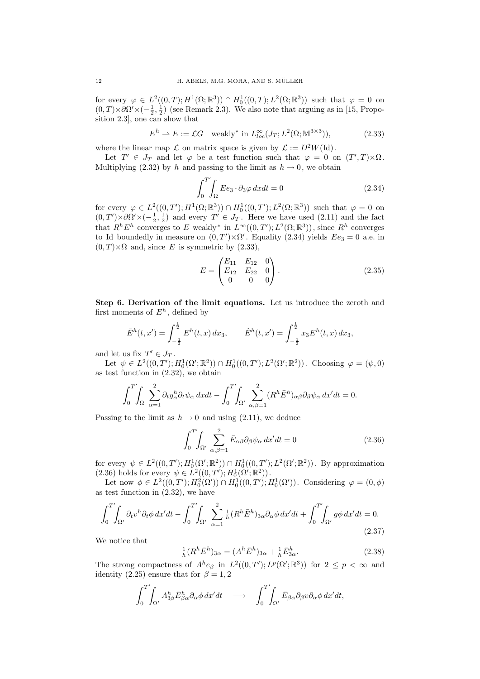for every  $\varphi \in L^2((0,T); H^1(\Omega;\mathbb{R}^3)) \cap H_0^1((0,T); L^2(\Omega;\mathbb{R}^3))$  such that  $\varphi = 0$  on  $(0,T) \times \partial \Omega' \times (-\frac{1}{2},\frac{1}{2})$  (see Remark 2.3). We also note that arguing as in [15, Proposition 2.3], one can show that

$$
Eh \rightharpoonup E := \mathcal{L}G \quad \text{weakly}^* \text{ in } L^{\infty}_{loc}(J_T; L^2(\Omega; \mathbb{M}^{3 \times 3})), \tag{2.33}
$$

where the linear map  $\mathcal L$  on matrix space is given by  $\mathcal L := D^2W(\mathrm{Id}).$ 

Let  $T' \in J_T$  and let  $\varphi$  be a test function such that  $\varphi = 0$  on  $(T', T) \times \Omega$ . Multiplying (2.32) by h and passing to the limit as  $h \to 0$ , we obtain

$$
\int_{0}^{T'} \int_{\Omega} E e_3 \cdot \partial_3 \varphi \, dx dt = 0 \tag{2.34}
$$

for every  $\varphi \in L^2((0,T'); H^1(\Omega;\mathbb{R}^3)) \cap H_0^1((0,T'); L^2(\Omega;\mathbb{R}^3))$  such that  $\varphi = 0$  on  $(0,T')\times\partial\Omega'\times(-\frac{1}{2},\frac{1}{2})$  and every  $T'\in J_T$ . Here we have used  $(2.11)$  and the fact that  $R^h E^h$  converges to E weakly<sup>\*</sup> in  $L^{\infty}((0,T'); L^2(\Omega;\mathbb{R}^3))$ , since  $R^h$  converges to Id boundedly in measure on  $(0, T') \times \Omega'$ . Equality (2.34) yields  $E e_3 = 0$  a.e. in  $(0, T) \times \Omega$  and, since E is symmetric by (2.33),

$$
E = \begin{pmatrix} E_{11} & E_{12} & 0 \\ E_{12} & E_{22} & 0 \\ 0 & 0 & 0 \end{pmatrix} . \tag{2.35}
$$

Step 6. Derivation of the limit equations. Let us introduce the zeroth and first moments of  $E^h$ , defined by

$$
\bar{E}^h(t,x') = \int_{-\frac{1}{2}}^{\frac{1}{2}} E^h(t,x) dx_3, \qquad \hat{E}^h(t,x') = \int_{-\frac{1}{2}}^{\frac{1}{2}} x_3 E^h(t,x) dx_3,
$$

and let us fix  $T' \in J_T$ .

Let  $\psi \in L^2((0,T'); H_0^1(\Omega';\mathbb{R}^2)) \cap H_0^1((0,T'); L^2(\Omega';\mathbb{R}^2))$ . Choosing  $\varphi = (\psi, 0)$ as test function in (2.32), we obtain

$$
\int_0^{T'}\!\!\!\int_{\Omega}\sum_{\alpha=1}^2\partial_ty_{\alpha}^h\partial_t\psi_{\alpha}\,dxdt-\int_0^{T'}\!\!\!\int_{\Omega'}\sum_{\alpha,\beta=1}^2(R^h\bar{E}^h)_{\alpha\beta}\partial_\beta\psi_{\alpha}\,dx'dt=0.
$$

Passing to the limit as  $h \to 0$  and using (2.11), we deduce

$$
\int_0^{T'} \int_{\Omega'} \sum_{\alpha,\beta=1}^2 \bar{E}_{\alpha\beta} \partial_{\beta} \psi_{\alpha} dx'dt = 0
$$
\n(2.36)

for every  $\psi \in L^2((0,T'); H_0^1(\Omega';\mathbb{R}^2)) \cap H_0^1((0,T'); L^2(\Omega';\mathbb{R}^2))$ . By approximation (2.36) holds for every  $\psi \in L^2((0,T'); H_0^1(\Omega';\mathbb{R}^2))$ .

Let now  $\phi \in L^2((0,T'); H_0^2(\Omega')) \cap H_0^1((0,T'); H_0^1(\Omega'))$ . Considering  $\varphi = (0,\phi)$ as test function in (2.32), we have

$$
\int_0^{T'} \int_{\Omega'} \partial_t v^h \partial_t \phi \, dx' dt - \int_0^{T'} \int_{\Omega'} \sum_{\alpha=1}^2 \frac{1}{h} (R^h \bar{E}^h)_{3\alpha} \partial_\alpha \phi \, dx' dt + \int_0^{T'} \int_{\Omega'} g \phi \, dx' dt = 0. \tag{2.37}
$$

We notice that

$$
\frac{1}{h}(R^h \bar{E}^h)_{3\alpha} = (A^h \bar{E}^h)_{3\alpha} + \frac{1}{h} \bar{E}_{3\alpha}^h.
$$
\n(2.38)

The strong compactness of  $A^{h}e_{\beta}$  in  $L^{2}((0,T');L^{p}(\Omega';\mathbb{R}^{3}))$  for  $2 \leq p < \infty$  and identity (2.25) ensure that for  $\beta = 1, 2$ 

$$
\int_0^{T'}\!\!\!\int_{\Omega'} A^h_{3\beta} \bar{E}^h_{\beta\alpha} \partial_\alpha \phi \, dx' dt \quad \longrightarrow \quad \int_0^{T'}\!\!\!\int_{\Omega'} \bar{E}_{\beta\alpha} \partial_\beta v \partial_\alpha \phi \, dx' dt,
$$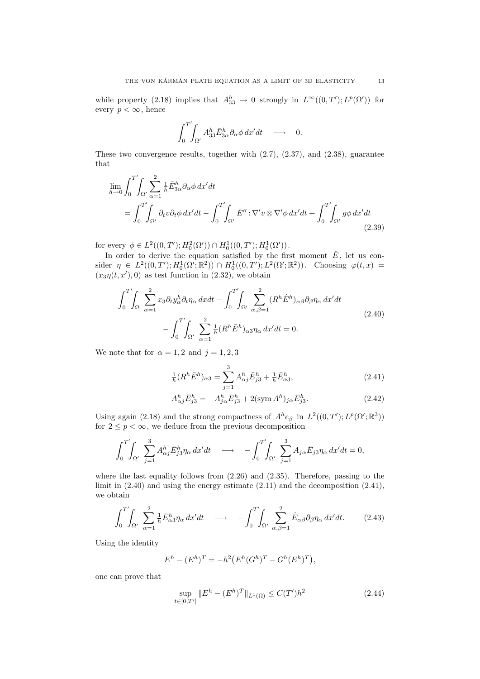while property (2.18) implies that  $A_{33}^h \to 0$  strongly in  $L^{\infty}((0,T'); L^p(\Omega'))$  for every  $p < \infty$ , hence

$$
\int_0^{T'}\!\!\!\int_{\Omega'}A^h_{33}\bar{E}^h_{3\alpha}\partial_\alpha\phi\,dx'dt\quad\longrightarrow\quad 0.
$$

These two convergence results, together with (2.7), (2.37), and (2.38), guarantee that

$$
\lim_{h \to 0} \int_0^{T'} \int_{\Omega'} \sum_{\alpha=1}^2 \frac{1}{h} \bar{E}_{3\alpha}^h \partial_\alpha \phi \, dx' dt
$$
\n
$$
= \int_0^{T'} \int_{\Omega'} \partial_t v \partial_t \phi \, dx' dt - \int_0^{T'} \int_{\Omega'} \bar{E}'' : \nabla' v \otimes \nabla' \phi \, dx' dt + \int_0^{T'} \int_{\Omega'} g \phi \, dx' dt
$$
\n(2.39)

for every  $\phi \in L^2((0,T'); H_0^2(\Omega')) \cap H_0^1((0,T'); H_0^1(\Omega')).$ 

In order to derive the equation satisfied by the first moment  $\hat{E}$ , let us consider  $\eta \in L^2((0,T'); H_0^1(\Omega'; \mathbb{R}^2)) \cap H_0^1((0,T'); L^2(\Omega'; \mathbb{R}^2))$ . Choosing  $\varphi(t,x)$  $(x_3\eta(t,x'),0)$  as test function in (2.32), we obtain

$$
\int_0^{T'} \int_{\Omega} \sum_{\alpha=1}^2 x_3 \partial_t y_{\alpha}^h \partial_t \eta_{\alpha} dx dt - \int_0^{T'} \int_{\Omega'} \sum_{\alpha,\beta=1}^2 (R^h \hat{E}^h)_{\alpha\beta} \partial_{\beta} \eta_{\alpha} dx' dt - \int_0^{T'} \int_{\Omega'} \sum_{\alpha=1}^2 \frac{1}{h} (R^h \bar{E}^h)_{\alpha3} \eta_{\alpha} dx' dt = 0.
$$
\n(2.40)

We note that for  $\alpha = 1, 2$  and  $j = 1, 2, 3$ 

$$
\frac{1}{h}(R^h \bar{E}^h)_{\alpha 3} = \sum_{j=1}^3 A^h_{\alpha j} \bar{E}^h_{j3} + \frac{1}{h} \bar{E}^h_{\alpha 3},\tag{2.41}
$$

$$
A_{\alpha j}^{h} \bar{E}_{j3}^{h} = -A_{j\alpha}^{h} \bar{E}_{j3}^{h} + 2(\text{sym } A^{h})_{j\alpha} \bar{E}_{j3}^{h}.
$$
 (2.42)

Using again (2.18) and the strong compactness of  $A^{h}e_{\beta}$  in  $L^{2}((0, T'); L^{p}(\Omega'; \mathbb{R}^{3}))$ for  $2\leq p<\infty,$  we deduce from the previous decomposition

$$
\int_0^{T'} \int_{\Omega'} \sum_{j=1}^3 A^h_{\alpha j} \bar{E}^h_{j3} \eta_\alpha \, dx' dt \longrightarrow - \int_0^{T'} \int_{\Omega'} \sum_{j=1}^3 A_{j\alpha} \bar{E}_{j3} \eta_\alpha \, dx' dt = 0,
$$

where the last equality follows from (2.26) and (2.35). Therefore, passing to the limit in (2.40) and using the energy estimate (2.11) and the decomposition (2.41), we obtain

$$
\int_0^{T'} \int_{\Omega'} \sum_{\alpha=1}^2 \frac{1}{h} \bar{E}_{\alpha 3}^h \eta_\alpha \, dx' dt \quad \longrightarrow \quad -\int_0^{T'} \int_{\Omega'} \sum_{\alpha,\beta=1}^2 \hat{E}_{\alpha\beta} \partial_\beta \eta_\alpha \, dx' dt. \tag{2.43}
$$

Using the identity

$$
E^{h} - (E^{h})^{T} = -h^{2} (E^{h} (G^{h})^{T} - G^{h} (E^{h})^{T}),
$$

one can prove that

$$
\sup_{t \in [0,T']} \|E^h - (E^h)^T\|_{L^1(\Omega)} \le C(T')h^2 \tag{2.44}
$$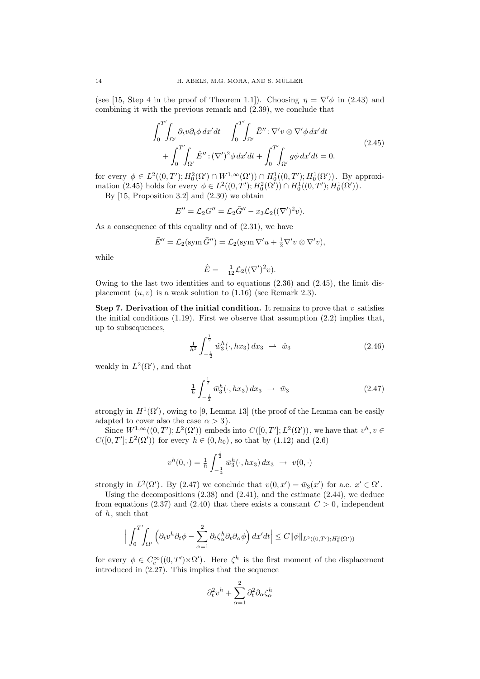(see [15, Step 4 in the proof of Theorem 1.1]). Choosing  $\eta = \nabla' \phi$  in (2.43) and combining it with the previous remark and (2.39), we conclude that

$$
\int_0^{T'} \int_{\Omega'} \partial_t v \partial_t \phi \, dx' dt - \int_0^{T'} \int_{\Omega'} \bar{E}'' : \nabla' v \otimes \nabla' \phi \, dx' dt + \int_0^{T'} \int_{\Omega'} \hat{E}'' : (\nabla')^2 \phi \, dx' dt + \int_0^{T'} \int_{\Omega'} g \phi \, dx' dt = 0.
$$
\n(2.45)

for every  $\phi \in L^2((0,T'); H_0^2(\Omega') \cap W^{1,\infty}(\Omega')) \cap H_0^1((0,T'); H_0^1(\Omega'))$ . By approximation (2.45) holds for every  $\phi \in L^2((0,T'); H_0^2(\Omega')) \cap H_0^1((0,T'); H_0^1(\Omega'))$ .

By [15, Proposition 3.2] and (2.30) we obtain

$$
E'' = \mathcal{L}_2 G'' = \mathcal{L}_2 \overline{G}'' - x_3 \mathcal{L}_2((\nabla')^2 v).
$$

As a consequence of this equality and of  $(2.31)$ , we have

$$
\bar{E}'' = \mathcal{L}_2(\text{sym}\,\bar{G}'') = \mathcal{L}_2(\text{sym}\,\nabla'u + \frac{1}{2}\nabla'v\otimes\nabla'v),
$$

while

$$
\hat{E} = -\frac{1}{12}\mathcal{L}_2((\nabla')^2 v).
$$

Owing to the last two identities and to equations  $(2.36)$  and  $(2.45)$ , the limit displacement  $(u, v)$  is a weak solution to  $(1.16)$  (see Remark 2.3).

Step 7. Derivation of the initial condition. It remains to prove that v satisfies the initial conditions (1.19). First we observe that assumption (2.2) implies that, up to subsequences,

$$
\frac{1}{h^2} \int_{-\frac{1}{2}}^{\frac{1}{2}} \hat{w}_3^h(\cdot, hx_3) \, dx_3 \ \rightharpoonup \ \hat{w}_3 \tag{2.46}
$$

weakly in  $L^2(\Omega')$ , and that

$$
\frac{1}{h} \int_{-\frac{1}{2}}^{\frac{1}{2}} \bar{w}_3^h(\cdot, hx_3) \, dx_3 \ \to \ \bar{w}_3 \tag{2.47}
$$

strongly in  $H^1(\Omega')$ , owing to [9, Lemma 13] (the proof of the Lemma can be easily adapted to cover also the case  $\alpha > 3$ ).

Since  $W^{1,\infty}((0,T');L^2(\Omega'))$  embeds into  $C([0,T']:L^2(\Omega'))$ , we have that  $v^h, v \in$  $C([0, T)]; L^2(\Omega')$  for every  $h \in (0, h_0)$ , so that by  $(1.12)$  and  $(2.6)$ 

$$
v^{h}(0,\cdot) = \frac{1}{h} \int_{-\frac{1}{2}}^{\frac{1}{2}} \bar{w}_{3}^{h}(\cdot, hx_{3}) dx_{3} \rightarrow v(0,\cdot)
$$

strongly in  $L^2(\Omega')$ . By (2.47) we conclude that  $v(0, x') = \bar{w}_3(x')$  for a.e.  $x' \in \Omega'$ .

Using the decompositions  $(2.38)$  and  $(2.41)$ , and the estimate  $(2.44)$ , we deduce from equations (2.37) and (2.40) that there exists a constant  $C > 0$ , independent of  $h$ , such that

$$
\Big|\int_0^{T'}\!\!\!\int_{\Omega'}\Big(\partial_t v^h \partial_t \phi - \sum_{\alpha=1}^2 \partial_t \zeta_\alpha^h \partial_t \partial_\alpha \phi\Big) dx'dt\Big| \leq C \|\phi\|_{L^2((0,T');H_0^3(\Omega'))}
$$

for every  $\phi \in C_c^{\infty}((0,T') \times \Omega')$ . Here  $\zeta^h$  is the first moment of the displacement introduced in (2.27). This implies that the sequence

$$
\partial_t^2 v^h + \sum_{\alpha=1}^2 \partial_t^2 \partial_\alpha \zeta_\alpha^h
$$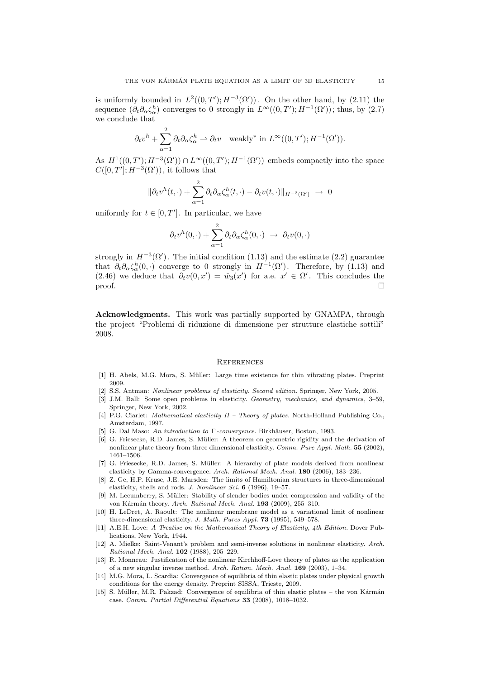is uniformly bounded in  $L^2((0,T'); H^{-3}(\Omega'))$ . On the other hand, by (2.11) the sequence  $(\partial_t \partial_\alpha \zeta_\alpha^h)$  converges to 0 strongly in  $L^\infty((0,T'); H^{-1}(\Omega'))$ ; thus, by  $(2.7)$ we conclude that

$$
\partial_t v^h + \sum_{\alpha=1}^2 \partial_t \partial_\alpha \zeta_\alpha^h \rightharpoonup \partial_t v \quad \text{weakly}^* \text{ in } L^\infty((0,T'); H^{-1}(\Omega')).
$$

As  $H^1((0,T'); H^{-3}(\Omega')) \cap L^{\infty}((0,T'); H^{-1}(\Omega'))$  embeds compactly into the space  $C([0,T'];H^{-3}(\Omega'))$ , it follows that

$$
\|\partial_t v^h(t,\cdot) + \sum_{\alpha=1}^2 \partial_t \partial_\alpha \zeta_\alpha^h(t,\cdot) - \partial_t v(t,\cdot)\|_{H^{-3}(\Omega')} \to 0
$$

uniformly for  $t \in [0, T']$ . In particular, we have

$$
\partial_t v^h(0,\cdot) + \sum_{\alpha=1}^2 \partial_t \partial_\alpha \zeta_\alpha^h(0,\cdot) \rightarrow \partial_t v(0,\cdot)
$$

strongly in  $H^{-3}(\Omega')$ . The initial condition (1.13) and the estimate (2.2) guarantee that  $\partial_t \partial_\alpha \zeta_\alpha^h(0,\cdot)$  converge to 0 strongly in  $H^{-1}(\Omega')$ . Therefore, by (1.13) and (2.46) we deduce that  $\partial_t v(0, x') = \hat{w}_3(x')$  for a.e.  $x' \in \Omega'$ . This concludes the  $\Box$ 

Acknowledgments. This work was partially supported by GNAMPA, through the project "Problemi di riduzione di dimensione per strutture elastiche sottili" 2008.

#### **REFERENCES**

- [1] H. Abels, M.G. Mora, S. M¨uller: Large time existence for thin vibrating plates. Preprint 2009.
- [2] S.S. Antman: Nonlinear problems of elasticity. Second edition. Springer, New York, 2005.
- [3] J.M. Ball: Some open problems in elasticity. Geometry, mechanics, and dynamics, 3–59, Springer, New York, 2002.
- [4] P.G. Ciarlet: *Mathematical elasticity II Theory of plates*. North-Holland Publishing Co., Amsterdam, 1997.
- [5] G. Dal Maso: An introduction to Γ-convergence. Birkhäuser, Boston, 1993.
- [6] G. Friesecke, R.D. James, S. Müller: A theorem on geometric rigidity and the derivation of nonlinear plate theory from three dimensional elasticity. Comm. Pure Appl. Math. 55 (2002), 1461–1506.
- [7] G. Friesecke, R.D. James, S. Müller: A hierarchy of plate models derived from nonlinear elasticity by Gamma-convergence. Arch. Rational Mech. Anal. 180 (2006), 183–236.
- [8] Z. Ge, H.P. Kruse, J.E. Marsden: The limits of Hamiltonian structures in three-dimensional elasticity, shells and rods. J. Nonlinear Sci. 6 (1996), 19–57.
- [9] M. Lecumberry, S. M¨uller: Stability of slender bodies under compression and validity of the von Kármán theory. Arch. Rational Mech. Anal. 193 (2009), 255-310.
- [10] H. LeDret, A. Raoult: The nonlinear membrane model as a variational limit of nonlinear three-dimensional elasticity. J. Math. Pures Appl. 73 (1995), 549–578.
- [11] A.E.H. Love: A Treatise on the Mathematical Theory of Elasticity, 4th Edition. Dover Publications, New York, 1944.
- [12] A. Mielke: Saint-Venant's problem and semi-inverse solutions in nonlinear elasticity. Arch. Rational Mech. Anal. 102 (1988), 205–229.
- [13] R. Monneau: Justification of the nonlinear Kirchhoff-Love theory of plates as the application of a new singular inverse method. Arch. Ration. Mech. Anal. 169 (2003), 1–34.
- [14] M.G. Mora, L. Scardia: Convergence of equilibria of thin elastic plates under physical growth conditions for the energy density. Preprint SISSA, Trieste, 2009.
- [15] S. Müller, M.R. Pakzad: Convergence of equilibria of thin elastic plates the von Kármán case. Comm. Partial Differential Equations 33 (2008), 1018–1032.